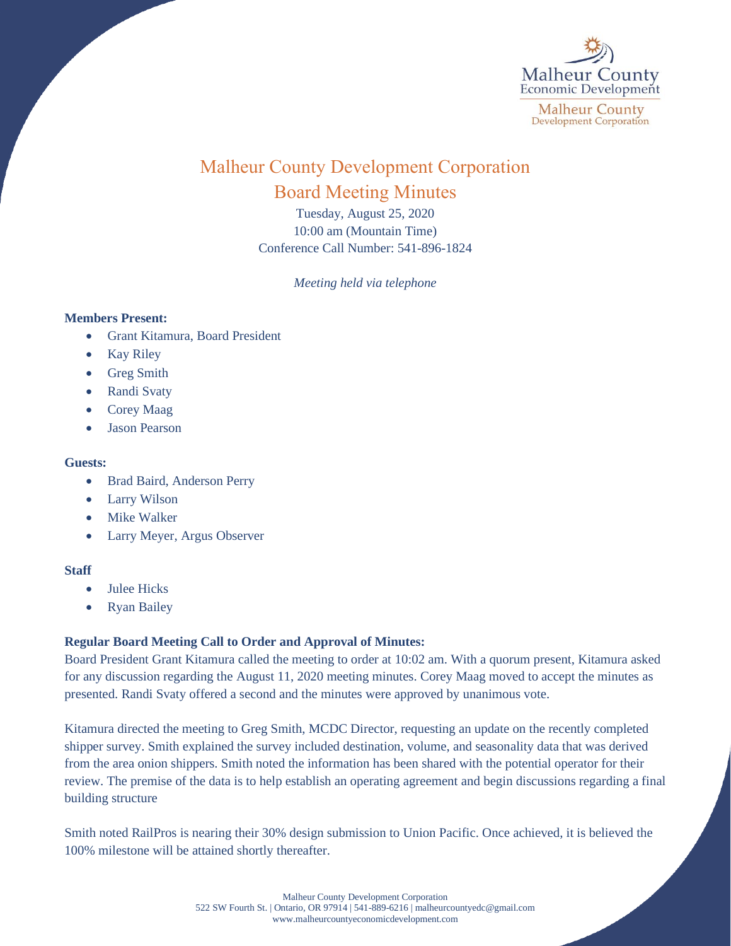

# Malheur County Development Corporation Board Meeting Minutes

Tuesday, August 25, 2020 10:00 am (Mountain Time) Conference Call Number: 541-896-1824

*Meeting held via telephone*

## **Members Present:**

- Grant Kitamura, Board President
- Kay Riley
- Greg Smith
- Randi Svaty
- Corey Maag
- Jason Pearson

## **Guests:**

- Brad Baird, Anderson Perry
- Larry Wilson
- **Mike Walker**
- Larry Meyer, Argus Observer

## **Staff**

- Julee Hicks
- Ryan Bailey

## **Regular Board Meeting Call to Order and Approval of Minutes:**

Board President Grant Kitamura called the meeting to order at 10:02 am. With a quorum present, Kitamura asked for any discussion regarding the August 11, 2020 meeting minutes. Corey Maag moved to accept the minutes as presented. Randi Svaty offered a second and the minutes were approved by unanimous vote.

Kitamura directed the meeting to Greg Smith, MCDC Director, requesting an update on the recently completed shipper survey. Smith explained the survey included destination, volume, and seasonality data that was derived from the area onion shippers. Smith noted the information has been shared with the potential operator for their review. The premise of the data is to help establish an operating agreement and begin discussions regarding a final building structure

Smith noted RailPros is nearing their 30% design submission to Union Pacific. Once achieved, it is believed the 100% milestone will be attained shortly thereafter.